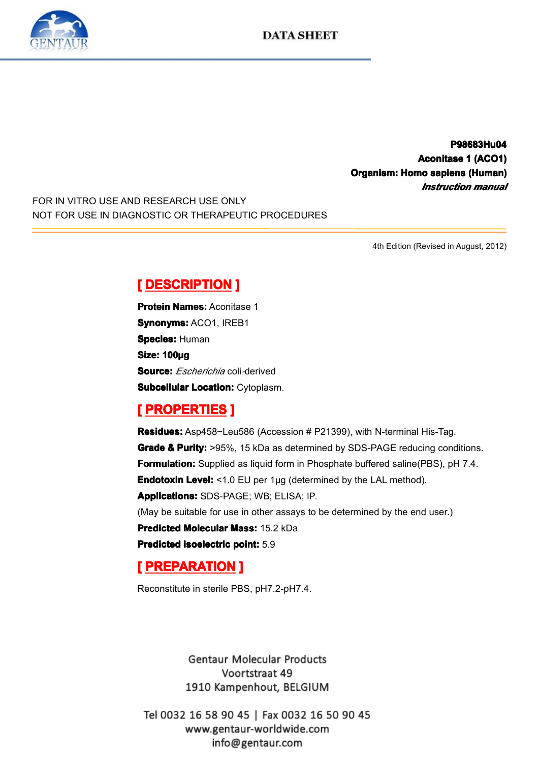**P98683Hu0 P98683Hu0 P98683Hu04 Aconitase 1 (ACO1)**<br>**Aconitase 1 (ACO1)**<br>*Instruction manual* **Corganism: Homo sapiens (Human)**<br> *Instruction manual*<br> **Instruction manual** *Instruction Instruction Instruction manual*

FOR IN VITRO USE AND RESEARCH USE ONLY NOT FOR USE IN DIAGNOSTIC OR THERAPEUTIC PROCEDURES

4th Edition (Revised in August, 2012)

**Experience DESCRIPTION**<br> **Protein Names: Aconita**<br> **Synonyms: ACO1, IRE**<br> **Species: Human<br>
Size: 100µg Protein Names:** Aconitase 1<br>**Synonyms:** ACO1, IREB1<br>**Species:** Human<br>**Size: 100µg**<br>**Souree:** *Escharichia* seli.de: **Synonyms:** ACO1, IREB1<br>**Species:** Human<br>**Size: 100µg<br><b>Source:** *Escherichia* coli-6<br>**Subcollular Location:** Cu **Species: Human** Size: 100µg<br>Size: 100µg<br>Subcellular<br> **[** PROPE **Source:** *Escherichia* coli*-*derived

**Subcellular Location:** Cytoplasm.<br> **[ PROPERTIES ]**<br> **Residues:** Asp458~Leu586 (Accession # P21399), with N-terminal His-Taq. **Experiment Excelence III**<br> **Residues:** Asp458~Le<br> **Grade & Purity:** >95%<br> **Formulation:** Supplied<br>
Endotoxin Level: <1.0<br>
Anniloations: SDS BA **Residues:** Asp458~Leu586 (Accession # P21399), with N-terminal His-Tag.<br> **Grade & Purity:** >95%, 15 kDa as determined by SDS-PAGE reducing cone<br> **Formulation:** Supplied as liquid form in Phosphate buffered saline(PBS), pl **Grade & Purity:** >95%, 15 kDa as determined by SDS-PAGE reducing conditions.<br> **Formulation:** Supplied as liquid form in Phosphate buffered saline(PBS), pH 7.4.<br> **Endotoxin Level:** <1.0 EU per 1µg (determined by the LAL me **Formulation:** Supplied as liquid form in Phosphate buffered saline(PBS), pH 7.4.<br> **Endotoxin Level:** <1.0 EU per 1µg (determined by the LAL method).<br> **Applications:** SDS-PAGE; WB; ELISA; IP.<br>
(May be suitable for use in o **Endotoxin Level:** <1.0 EU per 1µg (determined by the LAL method). **Applications:**SDS-PAGE; WB; ELISA; IP. (May be suitable for use in other assays to be determined by the end user.)<br> **Predicted Molecular Mass:** 15.2 kDa<br> **Predicted isoelectric point:** 5.9<br> **[PREPARATION ] Predicted Molecular Mass:** 15.2 kDa<br>**Predicted isoelectric point:** 5.9<br>**[ PREPARATION ]**<br>Reconstitute in sterile PBS, pH7.2-pH **Predicted isoelectric point:** 5.9<br> **[PREPARATION ]**<br>
Reconstitute in sterile PBS, pH7.

# **[ PREPARATION** ]<br>Reconstitute in sterile PB

Reconstitute in sterile PBS, pH7.2-pH7.4.

**Gentaur Molecular Products** Voortstraat 49 1910 Kampenhout, BELGIUM

Tel 0032 16 58 90 45 | Fax 0032 16 50 90 45 www.gentaur-worldwide.com info@gentaur.com